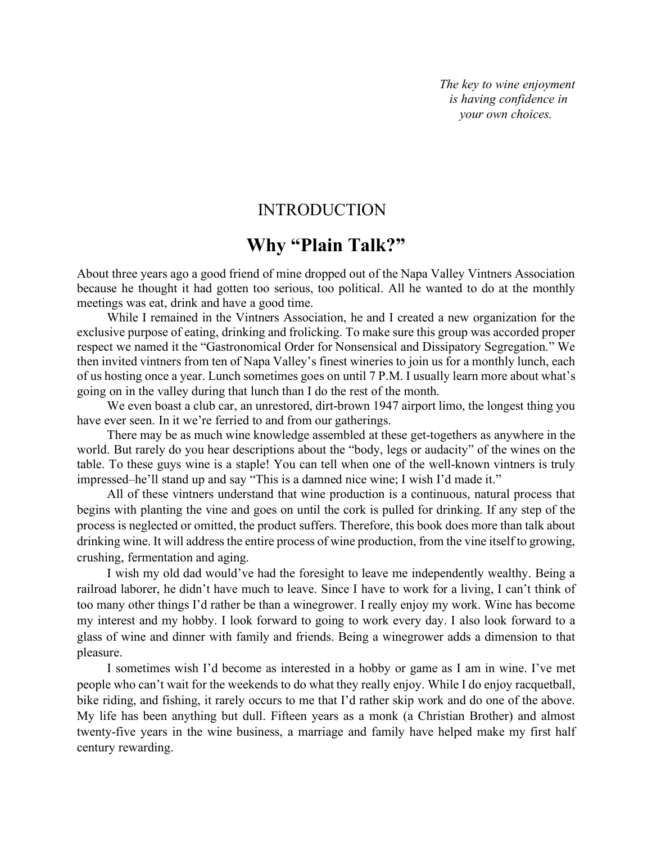*The key to wine enjoyment is having confidence in your own choices.*

## INTRODUCTION

## **Why "Plain Talk?"**

About three years ago a good friend of mine dropped out of the Napa Valley Vintners Association because he thought it had gotten too serious, too political. All he wanted to do at the monthly meetings was eat, drink and have a good time.

While I remained in the Vintners Association, he and I created a new organization for the exclusive purpose of eating, drinking and frolicking. To make sure this group was accorded proper respect we named it the "Gastronomical Order for Nonsensical and Dissipatory Segregation." We then invited vintners from ten of Napa Valley's finest wineries to join us for a monthly lunch, each of us hosting once a year. Lunch sometimes goes on until 7 P.M. I usually learn more about what's going on in the valley during that lunch than I do the rest of the month.

We even boast a club car, an unrestored, dirt-brown 1947 airport limo, the longest thing you have ever seen. In it we're ferried to and from our gatherings.

There may be as much wine knowledge assembled at these get-togethers as anywhere in the world. But rarely do you hear descriptions about the "body, legs or audacity" of the wines on the table. To these guys wine is a staple! You can tell when one of the well-known vintners is truly impressed–he'll stand up and say "This is a damned nice wine; I wish I'd made it."

All of these vintners understand that wine production is a continuous, natural process that begins with planting the vine and goes on until the cork is pulled for drinking. If any step of the process is neglected or omitted, the product suffers. Therefore, this book does more than talk about drinking wine. It will address the entire process of wine production, from the vine itself to growing, crushing, fermentation and aging.

I wish my old dad would've had the foresight to leave me independently wealthy. Being a railroad laborer, he didn't have much to leave. Since I have to work for a living, I can't think of too many other things I'd rather be than a winegrower. I really enjoy my work. Wine has become my interest and my hobby. I look forward to going to work every day. I also look forward to a glass of wine and dinner with family and friends. Being a winegrower adds a dimension to that pleasure.

I sometimes wish I'd become as interested in a hobby or game as I am in wine. I've met people who can't wait for the weekends to do what they really enjoy. While I do enjoy racquetball, bike riding, and fishing, it rarely occurs to me that I'd rather skip work and do one of the above. My life has been anything but dull. Fifteen years as a monk (a Christian Brother) and almost twenty-five years in the wine business, a marriage and family have helped make my first half century rewarding.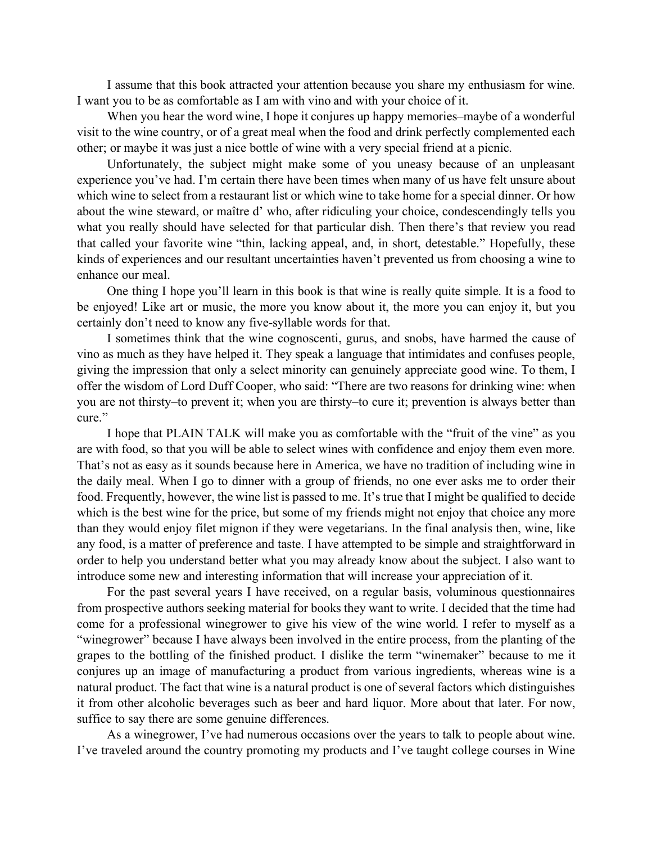I assume that this book attracted your attention because you share my enthusiasm for wine. I want you to be as comfortable as I am with vino and with your choice of it.

When you hear the word wine, I hope it conjures up happy memories–maybe of a wonderful visit to the wine country, or of a great meal when the food and drink perfectly complemented each other; or maybe it was just a nice bottle of wine with a very special friend at a picnic.

Unfortunately, the subject might make some of you uneasy because of an unpleasant experience you've had. I'm certain there have been times when many of us have felt unsure about which wine to select from a restaurant list or which wine to take home for a special dinner. Or how about the wine steward, or maître d' who, after ridiculing your choice, condescendingly tells you what you really should have selected for that particular dish. Then there's that review you read that called your favorite wine "thin, lacking appeal, and, in short, detestable." Hopefully, these kinds of experiences and our resultant uncertainties haven't prevented us from choosing a wine to enhance our meal.

One thing I hope you'll learn in this book is that wine is really quite simple. It is a food to be enjoyed! Like art or music, the more you know about it, the more you can enjoy it, but you certainly don't need to know any five-syllable words for that.

I sometimes think that the wine cognoscenti, gurus, and snobs, have harmed the cause of vino as much as they have helped it. They speak a language that intimidates and confuses people, giving the impression that only a select minority can genuinely appreciate good wine. To them, I offer the wisdom of Lord Duff Cooper, who said: "There are two reasons for drinking wine: when you are not thirsty–to prevent it; when you are thirsty–to cure it; prevention is always better than cure."

I hope that PLAIN TALK will make you as comfortable with the "fruit of the vine" as you are with food, so that you will be able to select wines with confidence and enjoy them even more. That's not as easy as it sounds because here in America, we have no tradition of including wine in the daily meal. When I go to dinner with a group of friends, no one ever asks me to order their food. Frequently, however, the wine list is passed to me. It's true that I might be qualified to decide which is the best wine for the price, but some of my friends might not enjoy that choice any more than they would enjoy filet mignon if they were vegetarians. In the final analysis then, wine, like any food, is a matter of preference and taste. I have attempted to be simple and straightforward in order to help you understand better what you may already know about the subject. I also want to introduce some new and interesting information that will increase your appreciation of it.

For the past several years I have received, on a regular basis, voluminous questionnaires from prospective authors seeking material for books they want to write. I decided that the time had come for a professional winegrower to give his view of the wine world. I refer to myself as a "winegrower" because I have always been involved in the entire process, from the planting of the grapes to the bottling of the finished product. I dislike the term "winemaker" because to me it conjures up an image of manufacturing a product from various ingredients, whereas wine is a natural product. The fact that wine is a natural product is one of several factors which distinguishes it from other alcoholic beverages such as beer and hard liquor. More about that later. For now, suffice to say there are some genuine differences.

As a winegrower, I've had numerous occasions over the years to talk to people about wine. I've traveled around the country promoting my products and I've taught college courses in Wine